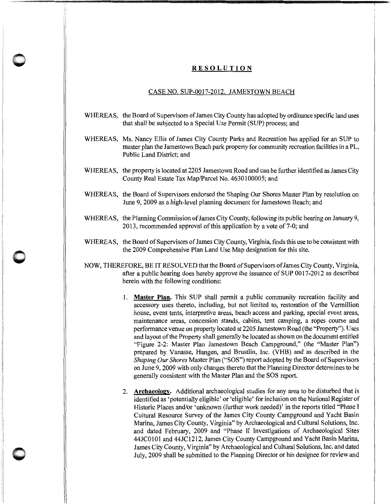## **RESOLUTION**

i! 'I i

**0** 

**0** 

## CASE NO. SUP-0017-2012. JAMESTOWN BEACH

- WHEREAS, the Board of Supervisors of James City County has adopted by ordinance specific land uses that shall be subjected to a Special Use Permit (SUP) process; and
- WHEREAS, Ms. Nancy Ellis of James City County Parks and Recreation has applied for an SUP to master plan the Jamestown Beach park property for community recreation facilities in a PL, Public Land District; and
- WHEREAS, the property is located at 2205 Jamestown Road and can be further identified as James City County Real Estate Tax Map/Parcel No. 4630100005; and
- WHEREAS, the Board of Supervisors endorsed the Shaping Our Shores Master Plan by resolution on June 9, 2009 as a high-level planning document for Jamestown Beach; and
- WHEREAS, the Planning Commission of James City County, following its public hearing on January 9, 2013, recommended approval of this application by a vote of 7-0; and
- WHEREAS, the Board of Supervisors of James City County, Virginia, finds this use to be consistent with the 2009 Comprehensive Plan Land Use Map designation for this site.
- NOW, THEREFORE, BE IT RESOLVED that the Board of Supervisors of James City County, Virginia, after a public hearing does hereby approve the issuance of SUP 0017-2012 as described herein with the following conditions:
	- 1. **Master Plan.** This SUP shall permit a public community recreation facility and accessory uses thereto, including, but not limited to, restoration of the Vermillion house, event tents, interpretive areas, beach access and parking, special event areas, maintenance areas, concession stands, cabins, tent camping, a ropes course and performance venue on property located at 2205 Jamestown Road (the "Property"). Uses and layout of the Property shall generally be located as shown on the document entitled "Figure 2-2: Master Plan Jamestown Beach Campground," (the "Master Plan") prepared by Vanasse, Hangen, and Brustlin, Inc. (VHB) and as described in the *Shaping Our Shores* Master Plan ("SOS") report adopted by the Board of Supervisors on June 9, 2009 with only changes thereto that the Planning Director determines to be generally consistent with the Master Plan and the SOS report.
	- 2. **Archaeology.** Additional archaeological studies for any area to be disturbed that is identified as 'potentially eligible' or 'eligible' for inclusion on the National Register of Historic Places and/or 'unknown (further work needed)' in the reports titled "Phase I Cultural Resource Survey of the James City County Campground and Yacht Basin Marina, James City County, Virginia" by Archaeological and Cultural Solutions, Inc. and dated February, 2009 and "Phase II Investigations of Archaeological Sites 44JC0101 and 44JC1212, James City County Campground and Yacht Basin Marina, James City County, Virginia" by Archaeological and Cultural Solutions, Inc. and dated July, 2009 shall be submitted to the Planning Director or his designee for review and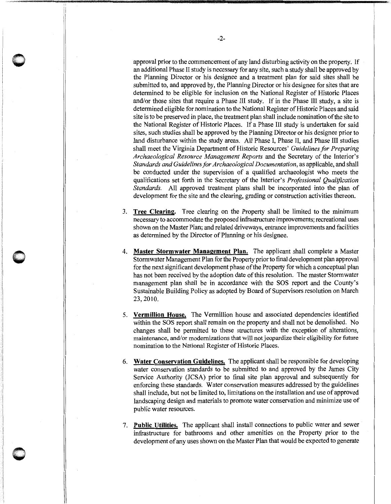approval prior to the commencement of any land disturbing activity on the property. If an additional Phase II study is necessary for any site, such a study shall be approved by the Planning Director or his designee and a treatment plan for said sites shall be submitted to, and approved by, the Planning Director or his designee for sites that are determined to be eligible for inclusion on the National Register of Historic Places and/or those sites that require a Phase III study. If in the Phase III study, a site is determined eligible for nomination to the National Register of Historic Places and said site is to be preserved in place, the treatment plan shall include nomination of the site to the National Register of Historic Places. If a Phase III study is undertaken for said sites, such studies shall be approved by the Planning Director or his designee prior to land disturbance within the study areas. All Phase I, Phase II, and Phase III studies shall meet the Virginia Department of Historic Resources' *Guidelines for Preparing Archaeological Resource Management Reports* and the Secretary of the Interior's *Standards and Guidelines for Archaeological Documentation,* as applicable, and shall be conducted under the supervision of a qualified archaeologist who meets the qualifications set forth in the Secretary of the Interior's *Professional Qualification Standards.* All approved treatment plans shall be incorporated into the plan of development for the site and the clearing, grading or construction activities thereon.

- 3. **Tree Clearing.** Tree clearing on the Property shall be limited to the minimum necessary to accommodate the proposed infrastructure improvements; recreational uses shown on the Master Plan; and related driveways, entrance improvements and facilities as determined by the Director of Planning or his designee.
- 4. **Master Stormwater Management Plan.** The applicant shall complete a Master Storm water Management Plan for the Property prior to final development plan approval for the next significant development phase of the Property for which a conceptual plan has not been received by the adoption date of this resolution. The master Stormwater management plan shall be in accordance with the SOS report and the County's Sustainable Building Policy as adopted by Board of Supervisors resolution on March 23, 2010.
- 5. **Vermillion House.** The Vermillion house and associated dependencies identified within the SOS report shall remain on the property and shall not be demolished. No changes shall be permitted to these structures with the exception of alterations, maintenance, and/or modernizations that will not jeopardize their eligibility for future nomination to the National Register of Historic Places.
- 6. **Water Conservation Guidelines.** The applicant shall be responsible for developing water conservation standards to be submitted to and approved by the James City Service Authority (JCSA) prior to final site plan approval and subsequently for enforcing these standards. Water conservation measures addressed by the guidelines shall include, but not be limited to, limitations on the installation and use of approved landscaping design and materials to promote water conservation and minimize use of public water resources.
- 7. **Public Utilities.** The applicant shall install connections to public water and sewer infrastructure for bathrooms and other amenities on the Property prior to the development of any uses shown on the Master Plan that would be expected to generate

**0** 

 $\Box$